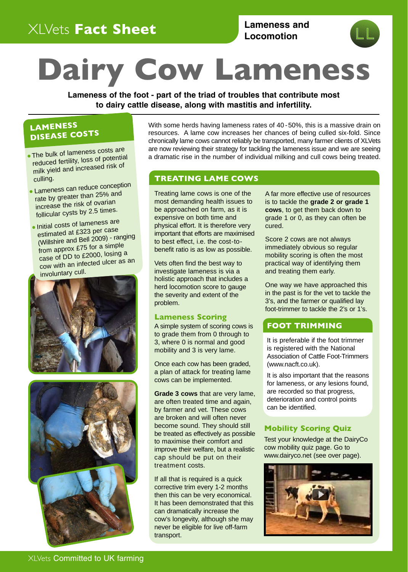# XLVets **Fact Sheet**

**Lameness and** Locomotion



# **Dairy Cow Lameness**

**Lameness of the foot - part of the triad of troubles that contribute most to dairy cattle disease, along with mastitis and infertility.** 

## **LAMENESS DISEASE COSTS**

- milk yield and increased risk of culling. • The bulk of lameness costs are
- Lameness can reduce conception rate by greater than 25% an<sup>d</sup> increase the risk of ovarian follicular cysts by 2.5 times.
- Initial costs of lameness are estimated at £323 per case (Willshire and Bell 2009) - ranging from approx £75 for a simple case of DD to £2000, losing a cow with an infected ulcer as an involuntary cull.





With some herds having lameness rates of 40 -50%, this is a massive drain on resources. A lame cow increases her chances of being culled six-fold. Since chronically lame cows cannot reliably be transported, many farmer clients of XLVets The bulk of lameness costs are are now reviewing their strategy for tackling the lameness issue and we are seeing reduced fertility, loss of potential a dramatic rise in the number of individual milking and cull cows being a dramatic rise in the number of individual milking and cull cows being treated.

#### **TREATING LAME COWS**

**Milk Fever**  most demanding health issues to be approached on farm, as it is expensive on both time and physical effort. It is therefore very important that efforts are maximised to best effect, i.e. the cost-tobenefit ratio is as low as possible. Treating lame cows is one of the

Vets often find the best way to vets often lind the best way to<br>investigate lameness is via a  $\blacksquare$  holistic approach that includes a herd locomotion score to gauge *problem. <i>problem. <i>problem.* the severity and extent of the

#### **Lameness Scoring**

A simple system of scoring cows is to grade them from 0 through to 3, where 0 is normal and good mobility and 3 is very lame.

Once each cow has been graded, a plan of attack for treating lame cows can be implemented.

**Grade 3 cows** that are very lame, are often treated time and again, by farmer and vet. These cows are broken and will often never become sound. They should still be treated as effectively as possible to maximise their comfort and improve their welfare, but a realistic cap should be put on their treatment costs.

If all that is required is a quick corrective trim every 1-2 months then this can be very economical. It has been demonstrated that this can dramatically increase the cow's longevity, although she may never be eligible for live off-farm transport.

A far more effective use of resources is to tackle the **grade 2 or grade 1 cows**, to get them back down to grade 1 or 0, as they can often be cured.

Score 2 cows are not always immediately obvious so regular mobility scoring is often the most practical way of identifying them and treating them early.

One way we have approached this in the past is for the vet to tackle the 3's, and the farmer or qualified lay foot-trimmer to tackle the 2's or 1's.

#### **FOOT TRIMMING**

It is preferable if the foot trimmer is registered with the National Association of Cattle Foot-Trimmers (www.nacft.co.uk).

It is also important that the reasons for lameness, or any lesions found, are recorded so that progress, deterioration and control points can be identified.

#### **Mobility Scoring Quiz**

Test your knowledge at the DairyCo cow mobility quiz page. Go to www.dairyco.net (see over page).